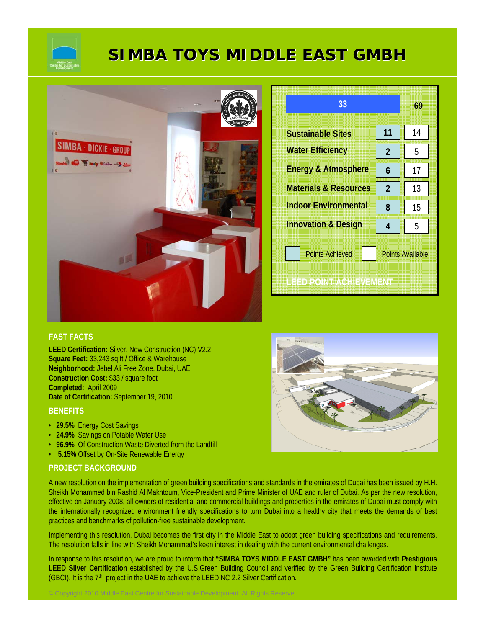

# **SIMBA TOYS MIDDLE EAST GMBH SIMBA TOYS MIDDLE EAST GMBH**



| 33                               |                         | 69 |
|----------------------------------|-------------------------|----|
| <b>Sustainable Sites</b>         | 11                      | 14 |
| <b>Water Efficiency</b>          | 2                       | 5  |
| <b>Energy &amp; Atmosphere</b>   | 6                       | 17 |
| <b>Materials &amp; Resources</b> | $\overline{2}$          | 13 |
| <b>Indoor Environmental</b>      | 8                       | 15 |
| <b>Innovation &amp; Design</b>   | 4                       | 5  |
| <b>Points Achieved</b>           | <b>Points Available</b> |    |
| <b>LEED POINT ACHIEVEMENT</b>    |                         |    |

### **FAST FACTS**

**LEED Certification:** Silver, New Construction (NC) V2.2 **Square Feet:** 33,243 sq ft / Office & Warehouse **Neighborhood:** Jebel Ali Free Zone, Dubai, UAE **Construction Cost:** \$33 / square foot **Completed:** April 2009 **Date of Certification:** September 19, 2010

#### **BENEFITS**

- **29.5%** Energy Cost Savings
- **24.9%** Savings on Potable Water Use
- **96.9%** Of Construction Waste Diverted from the Landfill

© Copyright 2010 Middle East Centre for Sustainable Development. All Rights Reserve

• **5.15%** Offset by On-Site Renewable Energy

#### **PROJECT BACKGROUND**

A new resolution on the implementation of green building specifications and standards in the emirates of Dubai has been issued by H.H. Sheikh Mohammed bin Rashid Al Makhtoum, Vice-President and Prime Minister of UAE and ruler of Dubai. As per the new resolution, effective on January 2008, all owners of residential and commercial buildings and properties in the emirates of Dubai must comply with the internationally recognized environment friendly specifications to turn Dubai into a healthy city that meets the demands of best practices and benchmarks of pollution-free sustainable development.

Implementing this resolution, Dubai becomes the first city in the Middle East to adopt green building specifications and requirements. The resolution falls in line with Sheikh Mohammed's keen interest in dealing with the current environmental challenges.

In response to this resolution, we are proud to inform that **"SIMBA TOYS MIDDLE EAST GMBH"** has been awarded with **Prestigious LEED Silver Certification** established by the U.S.Green Building Council and verified by the Green Building Certification Institute (GBCI). It is the  $7<sup>th</sup>$  project in the UAE to achieve the LEED NC 2.2 Silver Certification.